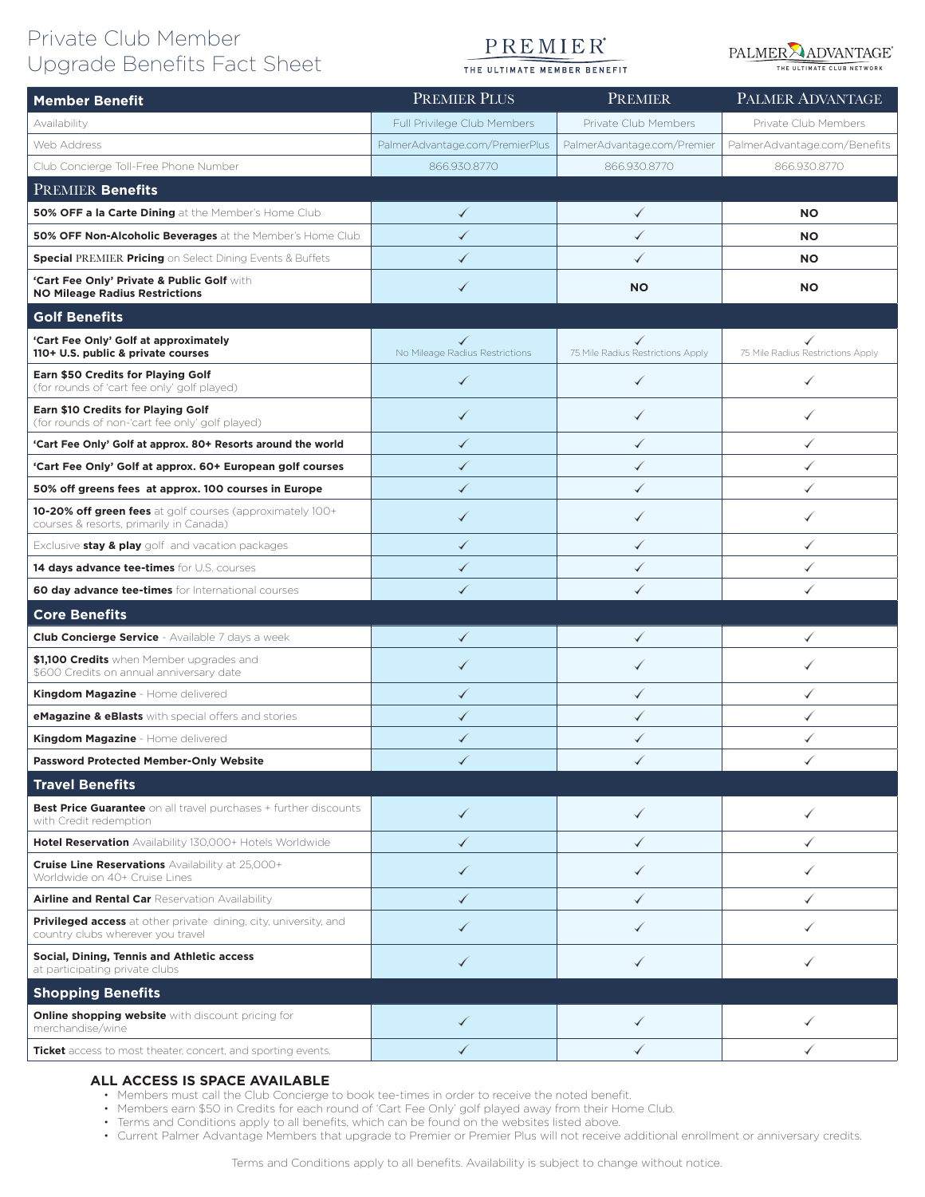## Private Club Member Upgrade Benefits Fact Sheet

## PREMIER

THE ULTIMATE MEMBER BENEFIT



| <b>Member Benefit</b>                                                                                 | <b>PREMIER PLUS</b>                 | <b>PREMIER</b>                         | PALMER ADVANTAGE                  |
|-------------------------------------------------------------------------------------------------------|-------------------------------------|----------------------------------------|-----------------------------------|
| Availability                                                                                          | Full Privilege Club Members         | Private Club Members                   | Private Club Members              |
| Web Address                                                                                           | PalmerAdvantage.com/PremierPlus     | PalmerAdvantage.com/Premier            | PalmerAdvantage.com/Benefits      |
| Club Concierge Toll-Free Phone Number                                                                 | 866,930,8770                        | 866.930.8770                           | 866.930.8770                      |
| <b>PREMIER Benefits</b>                                                                               |                                     |                                        |                                   |
| 50% OFF a la Carte Dining at the Member's Home Club                                                   | ✓                                   | ✓                                      | <b>NO</b>                         |
| 50% OFF Non-Alcoholic Beverages at the Member's Home Club                                             | ✓                                   | ✓                                      | <b>NO</b>                         |
| <b>Special PREMIER Pricing on Select Dining Events &amp; Buffets</b>                                  | ✓                                   | ✓                                      | <b>NO</b>                         |
| <b>'Cart Fee Only' Private &amp; Public Golf</b> with<br><b>NO Mileage Radius Restrictions</b>        |                                     | <b>NO</b>                              | NO                                |
| <b>Golf Benefits</b>                                                                                  |                                     |                                        |                                   |
| 'Cart Fee Only' Golf at approximately<br>110+ U.S. public & private courses                           | ✓<br>No Mileage Radius Restrictions | ✓<br>75 Mile Radius Restrictions Apply | 75 Mile Radius Restrictions Apply |
| Earn \$50 Credits for Playing Golf<br>(for rounds of 'cart fee only' golf played)                     | ✓                                   | ✓                                      |                                   |
| Earn \$10 Credits for Playing Golf<br>(for rounds of non-'cart fee only' golf played)                 | ✓                                   | ✓                                      | ✓                                 |
| 'Cart Fee Only' Golf at approx. 80+ Resorts around the world                                          |                                     | ✓                                      | ✓                                 |
| 'Cart Fee Only' Golf at approx. 60+ European golf courses                                             |                                     | ✓                                      |                                   |
| 50% off greens fees at approx. 100 courses in Europe                                                  | ✓                                   | ✓                                      |                                   |
| 10-20% off green fees at golf courses (approximately 100+<br>courses & resorts, primarily in Canada)  | ✓                                   | ✓                                      |                                   |
| Exclusive stay & play golf and vacation packages                                                      | ✓                                   | ✓                                      | ✓                                 |
| 14 days advance tee-times for U.S. courses                                                            | ✓                                   | ✓                                      |                                   |
| <b>60 day advance tee-times</b> for International courses                                             |                                     | ✓                                      |                                   |
| <b>Core Benefits</b>                                                                                  |                                     |                                        |                                   |
| <b>Club Concierge Service</b> - Available 7 days a week                                               | ✓                                   | ✓                                      |                                   |
| \$1,100 Credits when Member upgrades and<br>\$600 Credits on annual anniversary date                  |                                     | ✓                                      |                                   |
| Kingdom Magazine - Home delivered                                                                     | ✓                                   | ✓                                      |                                   |
| <b>eMagazine &amp; eBlasts</b> with special offers and stories                                        |                                     |                                        |                                   |
| Kingdom Magazine - Home delivered                                                                     |                                     |                                        |                                   |
| <b>Password Protected Member-Only Website</b>                                                         | ✓                                   | ✓                                      |                                   |
| <b>Travel Benefits</b>                                                                                |                                     |                                        |                                   |
| <b>Best Price Guarantee</b> on all travel purchases + further discounts<br>with Credit redemption     | ✓                                   | ✓                                      | ✓                                 |
| Hotel Reservation Availability 130,000+ Hotels Worldwide                                              | ✓                                   | ✓                                      | ✓                                 |
| <b>Cruise Line Reservations</b> Availability at 25,000+<br>Worldwide on 40+ Cruise Lines              |                                     | ✓                                      |                                   |
| <b>Airline and Rental Car</b> Reservation Availability                                                |                                     | ✓                                      |                                   |
| Privileged access at other private dining, city, university, and<br>country clubs wherever you travel |                                     | ✓                                      |                                   |
| Social, Dining, Tennis and Athletic access<br>at participating private clubs                          | ✓                                   |                                        |                                   |
| <b>Shopping Benefits</b>                                                                              |                                     |                                        |                                   |
| <b>Online shopping website</b> with discount pricing for<br>merchandise/wine                          |                                     |                                        |                                   |
| Ticket access to most theater, concert, and sporting events.                                          | ✓                                   | ✓                                      |                                   |

## **ALL ACCESS IS SPACE AVAILABLE**

• Members must call the Club Concierge to book tee-times in order to receive the noted benefit.

• Members earn \$50 in Credits for each round of 'Cart Fee Only' golf played away from their Home Club.

• Terms and Conditions apply to all benefits, which can be found on the websites listed above.

• Current Palmer Advantage Members that upgrade to Premier or Premier Plus will not receive additional enrollment or anniversary credits.